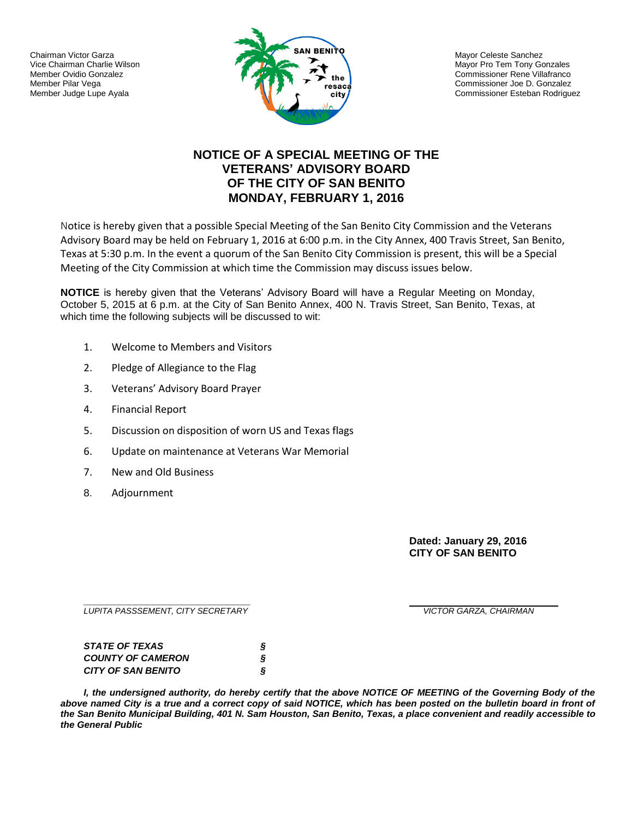Chairman Victor Garza Vice Chairman Charlie Wilson Member Ovidio Gonzalez Member Pilar Vega Member Judge Lupe Ayala



Mayor Celeste Sanchez Mayor Pro Tem Tony Gonzales Commissioner Rene Villafranco Commissioner Joe D. Gonzalez Commissioner Esteban Rodriguez

## **NOTICE OF A SPECIAL MEETING OF THE VETERANS' ADVISORY BOARD OF THE CITY OF SAN BENITO MONDAY, FEBRUARY 1, 2016**

Notice is hereby given that a possible Special Meeting of the San Benito City Commission and the Veterans Advisory Board may be held on February 1, 2016 at 6:00 p.m. in the City Annex, 400 Travis Street, San Benito, Texas at 5:30 p.m. In the event a quorum of the San Benito City Commission is present, this will be a Special Meeting of the City Commission at which time the Commission may discuss issues below.

**NOTICE** is hereby given that the Veterans' Advisory Board will have a Regular Meeting on Monday, October 5, 2015 at 6 p.m. at the City of San Benito Annex, 400 N. Travis Street, San Benito, Texas, at which time the following subjects will be discussed to wit:

- 1. Welcome to Members and Visitors
- 2. Pledge of Allegiance to the Flag
- 3. Veterans' Advisory Board Prayer
- 4. Financial Report
- 5. Discussion on disposition of worn US and Texas flags
- 6. Update on maintenance at Veterans War Memorial
- 7. New and Old Business
- 8. Adjournment

**Dated: January 29, 2016 CITY OF SAN BENITO**

**\_\_\_\_\_\_\_\_\_\_\_\_\_\_\_\_\_\_\_\_\_\_\_\_\_\_\_\_\_** *LUPITA PASSSEMENT, CITY SECRETARY VICTOR GARZA, CHAIRMAN*

| <i>STATE OF TEXAS</i>     |  |
|---------------------------|--|
| <b>COUNTY OF CAMERON</b>  |  |
| <b>CITY OF SAN BENITO</b> |  |

*I, the undersigned authority, do hereby certify that the above NOTICE OF MEETING of the Governing Body of the*  above named City is a true and a correct copy of said NOTICE, which has been posted on the bulletin board in front of *the San Benito Municipal Building, 401 N. Sam Houston, San Benito, Texas, a place convenient and readily accessible to the General Public*